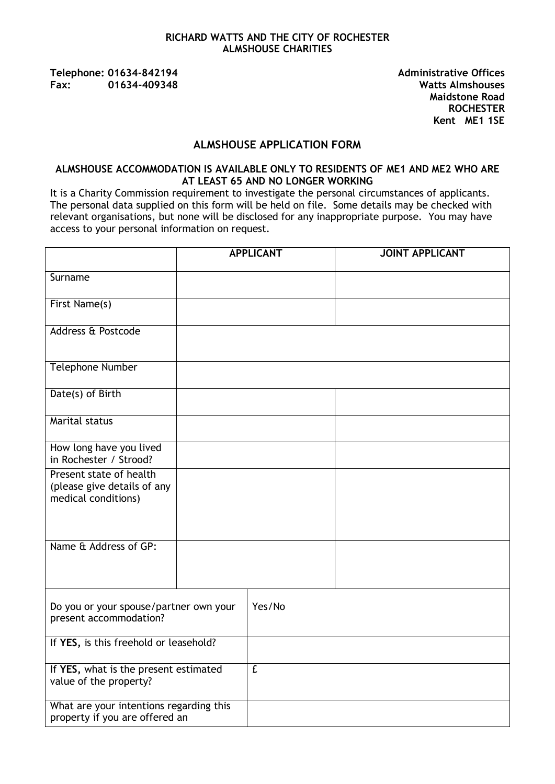### **RICHARD WATTS AND THE CITY OF ROCHESTER ALMSHOUSE CHARITIES**

**Telephone: 01634-842194 Administrative Offices Fax: 01634-409348 Watts Almshouses**

**Maidstone Road ROCHESTER Kent ME1 1SE** 

### **ALMSHOUSE APPLICATION FORM**

### **ALMSHOUSE ACCOMMODATION IS AVAILABLE ONLY TO RESIDENTS OF ME1 AND ME2 WHO ARE AT LEAST 65 AND NO LONGER WORKING**

It is a Charity Commission requirement to investigate the personal circumstances of applicants. The personal data supplied on this form will be held on file. Some details may be checked with relevant organisations, but none will be disclosed for any inappropriate purpose. You may have access to your personal information on request.

|                                                                               |  | <b>APPLICANT</b> | <b>JOINT APPLICANT</b> |
|-------------------------------------------------------------------------------|--|------------------|------------------------|
| Surname                                                                       |  |                  |                        |
| First Name(s)                                                                 |  |                  |                        |
| Address & Postcode                                                            |  |                  |                        |
| <b>Telephone Number</b>                                                       |  |                  |                        |
| Date(s) of Birth                                                              |  |                  |                        |
| <b>Marital status</b>                                                         |  |                  |                        |
| How long have you lived<br>in Rochester / Strood?                             |  |                  |                        |
| Present state of health<br>(please give details of any<br>medical conditions) |  |                  |                        |
| Name & Address of GP:                                                         |  |                  |                        |
| Do you or your spouse/partner own your<br>present accommodation?              |  | Yes/No           |                        |
| If YES, is this freehold or leasehold?                                        |  |                  |                        |
| If YES, what is the present estimated<br>value of the property?               |  | $\overline{f}$   |                        |
| What are your intentions regarding this<br>property if you are offered an     |  |                  |                        |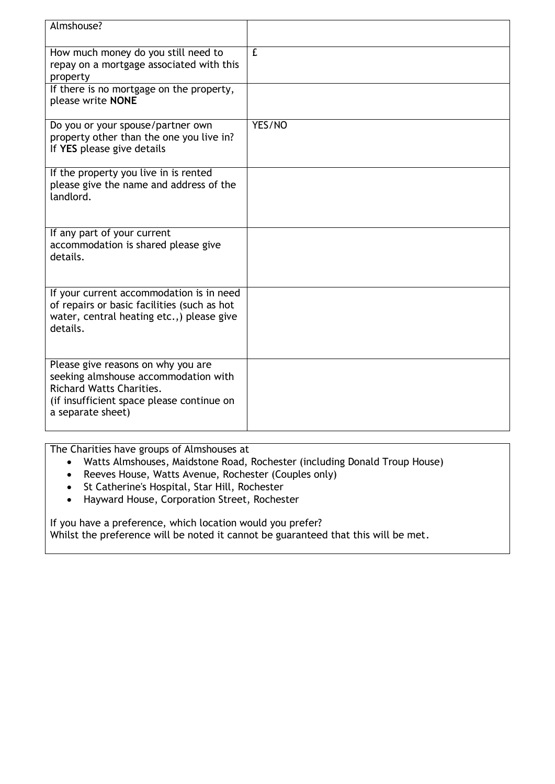| Almshouse?                                                                                                                                                                      |                |
|---------------------------------------------------------------------------------------------------------------------------------------------------------------------------------|----------------|
| How much money do you still need to<br>repay on a mortgage associated with this<br>property<br>If there is no mortgage on the property,                                         | $\overline{f}$ |
| please write NONE                                                                                                                                                               |                |
| Do you or your spouse/partner own<br>property other than the one you live in?<br>If YES please give details                                                                     | YES/NO         |
| If the property you live in is rented<br>please give the name and address of the<br>landlord.                                                                                   |                |
| If any part of your current<br>accommodation is shared please give<br>details.                                                                                                  |                |
| If your current accommodation is in need<br>of repairs or basic facilities (such as hot<br>water, central heating etc.,) please give<br>details.                                |                |
| Please give reasons on why you are<br>seeking almshouse accommodation with<br><b>Richard Watts Charities.</b><br>(if insufficient space please continue on<br>a separate sheet) |                |

The Charities have groups of Almshouses at

- Watts Almshouses, Maidstone Road, Rochester (including Donald Troup House)
- Reeves House, Watts Avenue, Rochester (Couples only)
- St Catherine's Hospital, Star Hill, Rochester
- Hayward House, Corporation Street, Rochester

If you have a preference, which location would you prefer? Whilst the preference will be noted it cannot be guaranteed that this will be met.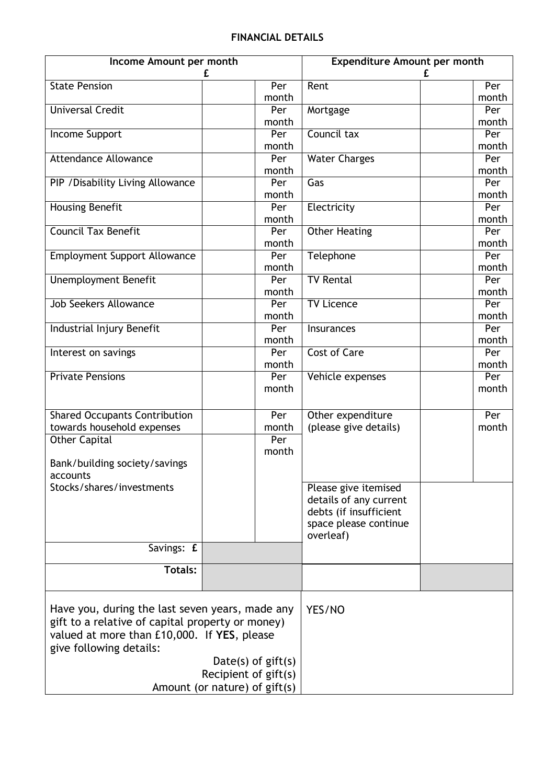# **FINANCIAL DETAILS**

| Income Amount per month                          |                               | <b>Expenditure Amount per month</b> |              |
|--------------------------------------------------|-------------------------------|-------------------------------------|--------------|
|                                                  | £                             |                                     | £            |
| <b>State Pension</b>                             | Per<br>month                  | Rent                                | Per<br>month |
| <b>Universal Credit</b>                          | Per                           | Mortgage                            | Per          |
|                                                  | month                         |                                     | month        |
| Income Support                                   | Per                           | Council tax                         | Per          |
|                                                  | month                         |                                     | month        |
| <b>Attendance Allowance</b>                      | Per                           | <b>Water Charges</b>                | Per          |
|                                                  | month                         |                                     | month        |
| PIP / Disability Living Allowance                | Per                           | Gas                                 | Per          |
|                                                  | month                         |                                     | month        |
| <b>Housing Benefit</b>                           | Per                           | Electricity                         | Per          |
|                                                  | month                         |                                     | month        |
| <b>Council Tax Benefit</b>                       | Per                           | <b>Other Heating</b>                | Per          |
|                                                  | month                         |                                     | month        |
| <b>Employment Support Allowance</b>              | Per                           | Telephone                           | Per          |
|                                                  | month                         |                                     | month        |
| <b>Unemployment Benefit</b>                      | Per                           | <b>TV Rental</b>                    | Per          |
|                                                  | month                         |                                     | month        |
| <b>Job Seekers Allowance</b>                     | Per                           | <b>TV Licence</b>                   | Per          |
|                                                  | month<br>Per                  |                                     | month<br>Per |
| Industrial Injury Benefit                        | month                         | Insurances                          | month        |
| Interest on savings                              | Per                           | <b>Cost of Care</b>                 | Per          |
|                                                  | month                         |                                     | month        |
| <b>Private Pensions</b>                          | Per                           | Vehicle expenses                    | Per          |
|                                                  | month                         |                                     | month        |
|                                                  |                               |                                     |              |
| <b>Shared Occupants Contribution</b>             | Per                           | Other expenditure                   | Per          |
| towards household expenses                       | month                         | (please give details)               | month        |
| <b>Other Capital</b>                             | Per                           |                                     |              |
|                                                  | month                         |                                     |              |
| Bank/building society/savings                    |                               |                                     |              |
| accounts                                         |                               |                                     |              |
| Stocks/shares/investments                        |                               | Please give itemised                |              |
|                                                  |                               | details of any current              |              |
|                                                  |                               | debts (if insufficient              |              |
|                                                  |                               | space please continue               |              |
| Savings: £                                       |                               | overleaf)                           |              |
|                                                  |                               |                                     |              |
| Totals:                                          |                               |                                     |              |
| Have you, during the last seven years, made any  |                               |                                     |              |
| gift to a relative of capital property or money) |                               | YES/NO                              |              |
| valued at more than £10,000. If YES, please      |                               |                                     |              |
| give following details:                          |                               |                                     |              |
|                                                  |                               |                                     |              |
|                                                  | Date(s) of $gift(s)$          |                                     |              |
|                                                  | Recipient of gift(s)          |                                     |              |
|                                                  | Amount (or nature) of gift(s) |                                     |              |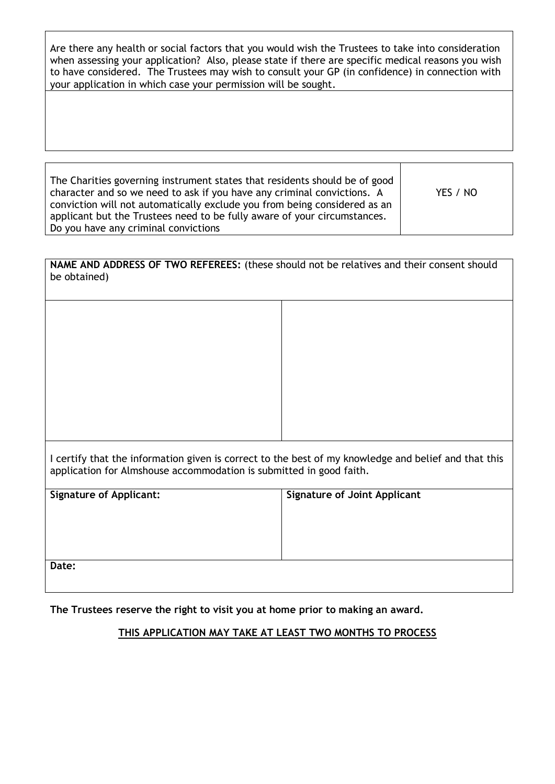Are there any health or social factors that you would wish the Trustees to take into consideration when assessing your application? Also, please state if there are specific medical reasons you wish to have considered. The Trustees may wish to consult your GP (in confidence) in connection with your application in which case your permission will be sought.

| The Charities governing instrument states that residents should be of good<br>character and so we need to ask if you have any criminal convictions. A<br>conviction will not automatically exclude you from being considered as an<br>applicant but the Trustees need to be fully aware of your circumstances. | YES / NO |
|----------------------------------------------------------------------------------------------------------------------------------------------------------------------------------------------------------------------------------------------------------------------------------------------------------------|----------|
| Do you have any criminal convictions                                                                                                                                                                                                                                                                           |          |
|                                                                                                                                                                                                                                                                                                                |          |

**NAME AND ADDRESS OF TWO REFEREES:** (these should not be relatives and their consent should be obtained)

I certify that the information given is correct to the best of my knowledge and belief and that this application for Almshouse accommodation is submitted in good faith.

| <b>Signature of Applicant:</b> | <b>Signature of Joint Applicant</b> |
|--------------------------------|-------------------------------------|
|                                |                                     |
|                                |                                     |
|                                |                                     |
| Date:                          |                                     |

**The Trustees reserve the right to visit you at home prior to making an award.**

## **THIS APPLICATION MAY TAKE AT LEAST TWO MONTHS TO PROCESS**